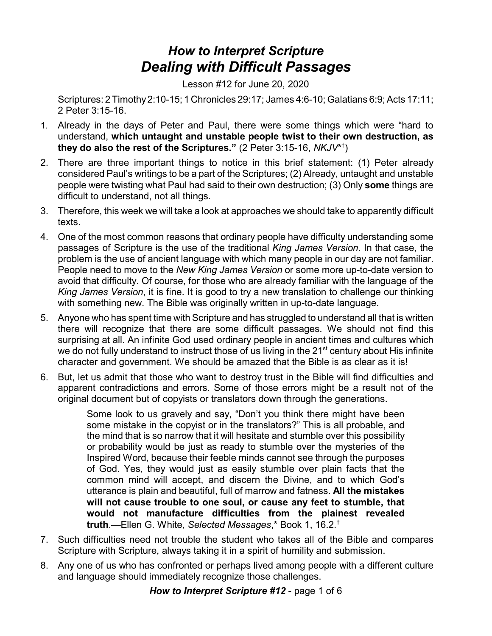## *How to Interpret Scripture Dealing with Difficult Passages*

Lesson #12 for June 20, 2020

Scriptures: 2 Timothy2:10-15; 1 Chronicles 29:17; James 4:6-10; Galatians 6:9; Acts 17:11; 2 Peter 3:15-16.

- 1. Already in the days of Peter and Paul, there were some things which were "hard to understand, **which untaught and unstable people twist to their own destruction, as they do also the rest of the Scriptures."** (2 Peter 3:15-16, *NKJV*\* † )
- 2. There are three important things to notice in this brief statement: (1) Peter already considered Paul's writings to be a part of the Scriptures; (2) Already, untaught and unstable people were twisting what Paul had said to their own destruction; (3) Only **some** things are difficult to understand, not all things.
- 3. Therefore, this week we will take a look at approaches we should take to apparently difficult texts.
- 4. One of the most common reasons that ordinary people have difficulty understanding some passages of Scripture is the use of the traditional *King James Version*. In that case, the problem is the use of ancient language with which many people in our day are not familiar. People need to move to the *New King James Version* or some more up-to-date version to avoid that difficulty. Of course, for those who are already familiar with the language of the *King James Version*, it is fine. It is good to try a new translation to challenge our thinking with something new. The Bible was originally written in up-to-date language.
- 5. Anyone who has spent time with Scripture and has struggled to understand all that is written there will recognize that there are some difficult passages. We should not find this surprising at all. An infinite God used ordinary people in ancient times and cultures which we do not fully understand to instruct those of us living in the 21 $^{\rm st}$  century about His infinite character and government. We should be amazed that the Bible is as clear as it is!
- 6. But, let us admit that those who want to destroy trust in the Bible will find difficulties and apparent contradictions and errors. Some of those errors might be a result not of the original document but of copyists or translators down through the generations.

Some look to us gravely and say, "Don't you think there might have been some mistake in the copyist or in the translators?" This is all probable, and the mind that is so narrow that it will hesitate and stumble over this possibility or probability would be just as ready to stumble over the mysteries of the Inspired Word, because their feeble minds cannot see through the purposes of God. Yes, they would just as easily stumble over plain facts that the common mind will accept, and discern the Divine, and to which God's utterance is plain and beautiful, full of marrow and fatness. **All the mistakes will not cause trouble to one soul, or cause any feet to stumble, that would not manufacture difficulties from the plainest revealed truth**.—Ellen G. White, *Selected Messages*,\* Book 1, 16.2. †

- 7. Such difficulties need not trouble the student who takes all of the Bible and compares Scripture with Scripture, always taking it in a spirit of humility and submission.
- 8. Any one of us who has confronted or perhaps lived among people with a different culture and language should immediately recognize those challenges.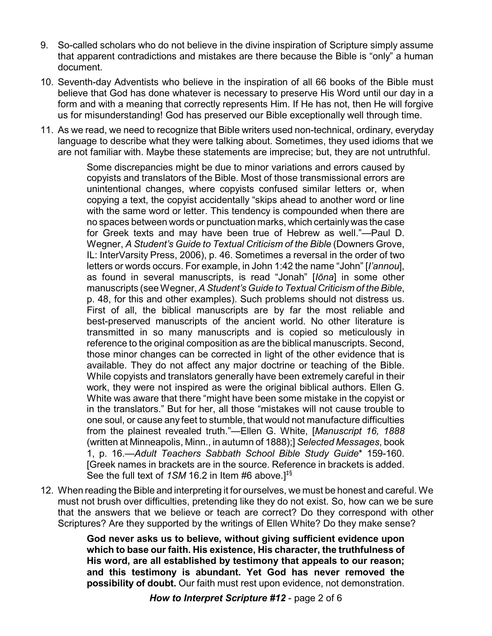- 9. So-called scholars who do not believe in the divine inspiration of Scripture simply assume that apparent contradictions and mistakes are there because the Bible is "only" a human document.
- 10. Seventh-day Adventists who believe in the inspiration of all 66 books of the Bible must believe that God has done whatever is necessary to preserve His Word until our day in a form and with a meaning that correctly represents Him. If He has not, then He will forgive us for misunderstanding! God has preserved our Bible exceptionally well through time.
- 11. As we read, we need to recognize that Bible writers used non-technical, ordinary, everyday language to describe what they were talking about. Sometimes, they used idioms that we are not familiar with. Maybe these statements are imprecise; but, they are not untruthful.

Some discrepancies might be due to minor variations and errors caused by copyists and translators of the Bible. Most of those transmissional errors are unintentional changes, where copyists confused similar letters or, when copying a text, the copyist accidentally "skips ahead to another word or line with the same word or letter. This tendency is compounded when there are no spaces between words or punctuation marks, which certainlywas the case for Greek texts and may have been true of Hebrew as well."—Paul D. Wegner, *A Student's Guide to Textual Criticism of the Bible* (Downers Grove, IL: InterVarsity Press, 2006), p. 46. Sometimes a reversal in the order of two letters or words occurs. For example, in John 1:42 the name "John" [*I'annou*], as found in several manuscripts, is read "Jonah" [*Iôna*] in some other manuscripts (see Wegner, A Student's Guide to Textual Criticism of the Bible, p. 48, for this and other examples). Such problems should not distress us. First of all, the biblical manuscripts are by far the most reliable and best-preserved manuscripts of the ancient world. No other literature is transmitted in so many manuscripts and is copied so meticulously in reference to the original composition as are the biblical manuscripts. Second, those minor changes can be corrected in light of the other evidence that is available. They do not affect any major doctrine or teaching of the Bible. While copyists and translators generally have been extremely careful in their work, they were not inspired as were the original biblical authors. Ellen G. White was aware that there "might have been some mistake in the copyist or in the translators." But for her, all those "mistakes will not cause trouble to one soul, or cause any feet to stumble, that would not manufacture difficulties from the plainest revealed truth."—Ellen G. White, [*Manuscript 16, 1888* (written at Minneapolis, Minn., in autumn of 1888);] *Selected Messages*, book 1, p. 16.—*Adult Teachers Sabbath School Bible Study Guide*\* 159-160. [Greek names in brackets are in the source. Reference in brackets is added. See the full text of *1SM* 16.2 in Item #6 above.]‡§

12. When reading the Bible and interpreting it for ourselves, we must be honest and careful. We must not brush over difficulties, pretending like they do not exist. So, how can we be sure that the answers that we believe or teach are correct? Do they correspond with other Scriptures? Are they supported by the writings of Ellen White? Do they make sense?

> **God never asks us to believe, without giving sufficient evidence upon which to base our faith. His existence, His character, the truthfulness of His word, are all established by testimony that appeals to our reason; and this testimony is abundant. Yet God has never removed the possibility of doubt.** Our faith must rest upon evidence, not demonstration.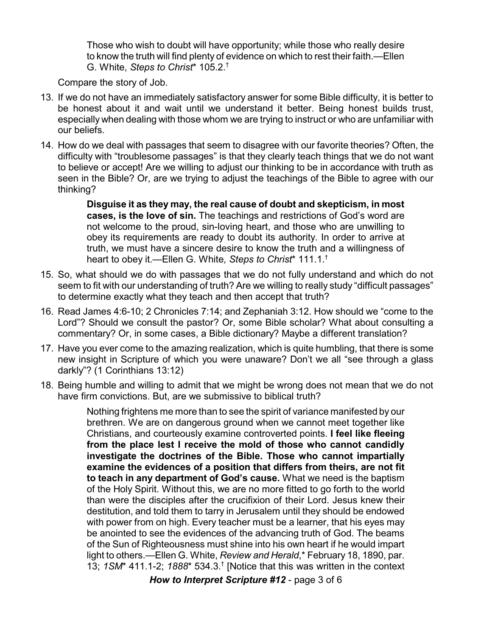Those who wish to doubt will have opportunity; while those who really desire to know the truth will find plenty of evidence on which to rest their faith.—Ellen G. White, *Steps to Christ*\* 105.2. †

Compare the story of Job.

- 13. If we do not have an immediately satisfactory answer for some Bible difficulty, it is better to be honest about it and wait until we understand it better. Being honest builds trust, especially when dealing with those whom we are trying to instruct or who are unfamiliar with our beliefs.
- 14. How do we deal with passages that seem to disagree with our favorite theories? Often, the difficulty with "troublesome passages" is that they clearly teach things that we do not want to believe or accept! Are we willing to adjust our thinking to be in accordance with truth as seen in the Bible? Or, are we trying to adjust the teachings of the Bible to agree with our thinking?

**Disguise it as they may, the real cause of doubt and skepticism, in most cases, is the love of sin.** The teachings and restrictions of God's word are not welcome to the proud, sin-loving heart, and those who are unwilling to obey its requirements are ready to doubt its authority. In order to arrive at truth, we must have a sincere desire to know the truth and a willingness of heart to obey it.—Ellen G. White*, Steps to Christ*\* 111.1. †

- 15. So, what should we do with passages that we do not fully understand and which do not seem to fit with our understanding of truth? Are we willing to really study "difficult passages" to determine exactly what they teach and then accept that truth?
- 16. Read James 4:6-10; 2 Chronicles 7:14; and Zephaniah 3:12. How should we "come to the Lord"? Should we consult the pastor? Or, some Bible scholar? What about consulting a commentary? Or, in some cases, a Bible dictionary? Maybe a different translation?
- 17. Have you ever come to the amazing realization, which is quite humbling, that there is some new insight in Scripture of which you were unaware? Don't we all "see through a glass darkly"? (1 Corinthians 13:12)
- 18. Being humble and willing to admit that we might be wrong does not mean that we do not have firm convictions. But, are we submissive to biblical truth?

Nothing frightens me more than to see the spirit of variance manifested by our brethren. We are on dangerous ground when we cannot meet together like Christians, and courteously examine controverted points. **I feel like fleeing from the place lest I receive the mold of those who cannot candidly investigate the doctrines of the Bible. Those who cannot impartially examine the evidences of a position that differs from theirs, are not fit to teach in any department of God's cause.** What we need is the baptism of the Holy Spirit. Without this, we are no more fitted to go forth to the world than were the disciples after the crucifixion of their Lord. Jesus knew their destitution, and told them to tarry in Jerusalem until they should be endowed with power from on high. Every teacher must be a learner, that his eyes may be anointed to see the evidences of the advancing truth of God. The beams of the Sun of Righteousness must shine into his own heart if he would impart light to others.—Ellen G. White, *Review and Herald*,\* February 18, 1890, par. 13; *1SM*\* 411.1-2; *1888*\* 534.3. † [Notice that this was written in the context

*How to Interpret Scripture #12* - page 3 of 6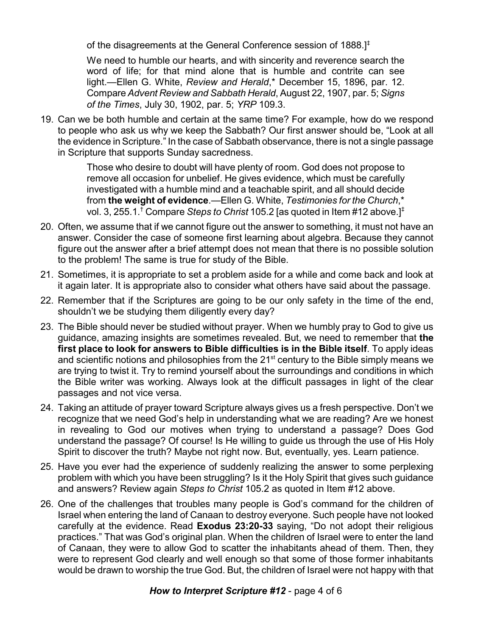of the disagreements at the General Conference session of 1888.]‡

We need to humble our hearts, and with sincerity and reverence search the word of life; for that mind alone that is humble and contrite can see light.—Ellen G. White, *Review and Herald*,\* December 15, 1896, par. 12. Compare *Advent Review and Sabbath Herald*, August 22, 1907, par. 5; *Signs of the Times*, July 30, 1902, par. 5; *YRP* 109.3.

19. Can we be both humble and certain at the same time? For example, how do we respond to people who ask us why we keep the Sabbath? Our first answer should be, "Look at all the evidence in Scripture." In the case of Sabbath observance, there is not a single passage in Scripture that supports Sunday sacredness.

> Those who desire to doubt will have plenty of room. God does not propose to remove all occasion for unbelief. He gives evidence, which must be carefully investigated with a humble mind and a teachable spirit, and all should decide from **the weight of evidence**.—Ellen G. White, *Testimonies for the Church*,\* vol. 3, 255.1. † Compare *Steps to Christ* 105.2 [as quoted in Item #12 above.]‡

- 20. Often, we assume that if we cannot figure out the answer to something, it must not have an answer. Consider the case of someone first learning about algebra. Because they cannot figure out the answer after a brief attempt does not mean that there is no possible solution to the problem! The same is true for study of the Bible.
- 21. Sometimes, it is appropriate to set a problem aside for a while and come back and look at it again later. It is appropriate also to consider what others have said about the passage.
- 22. Remember that if the Scriptures are going to be our only safety in the time of the end, shouldn't we be studying them diligently every day?
- 23. The Bible should never be studied without prayer. When we humbly pray to God to give us guidance, amazing insights are sometimes revealed. But, we need to remember that **the first place to look for answers to Bible difficulties is in the Bible itself**. To apply ideas and scientific notions and philosophies from the 21<sup>st</sup> century to the Bible simply means we are trying to twist it. Try to remind yourself about the surroundings and conditions in which the Bible writer was working. Always look at the difficult passages in light of the clear passages and not vice versa.
- 24. Taking an attitude of prayer toward Scripture always gives us a fresh perspective. Don't we recognize that we need God's help in understanding what we are reading? Are we honest in revealing to God our motives when trying to understand a passage? Does God understand the passage? Of course! Is He willing to guide us through the use of His Holy Spirit to discover the truth? Maybe not right now. But, eventually, yes. Learn patience.
- 25. Have you ever had the experience of suddenly realizing the answer to some perplexing problem with which you have been struggling? Is it the Holy Spirit that gives such guidance and answers? Review again *Steps to Christ* 105.2 as quoted in Item #12 above.
- 26. One of the challenges that troubles many people is God's command for the children of Israel when entering the land of Canaan to destroy everyone. Such people have not looked carefully at the evidence. Read **Exodus 23:20-33** saying, "Do not adopt their religious practices." That was God's original plan. When the children of Israel were to enter the land of Canaan, they were to allow God to scatter the inhabitants ahead of them. Then, they were to represent God clearly and well enough so that some of those former inhabitants would be drawn to worship the true God. But, the children of Israel were not happy with that

## *How to Interpret Scripture #12* - page 4 of 6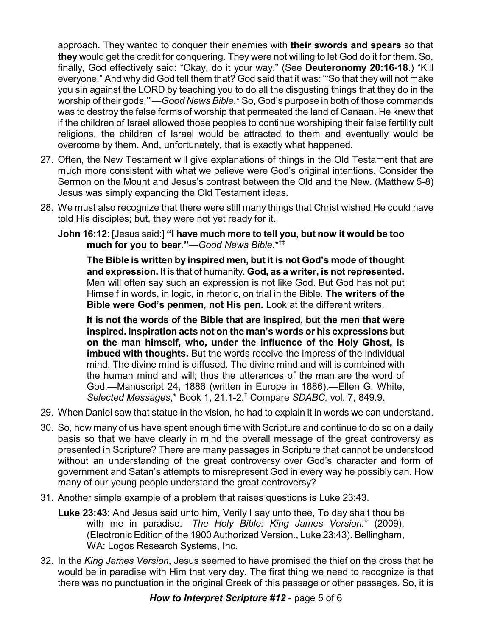approach. They wanted to conquer their enemies with **their swords and spears** so that **they** would get the credit for conquering. They were not willing to let God do it for them. So, finally, God effectively said: "Okay, do it your way." (See **Deuteronomy 20:16-18**.) "Kill everyone." And why did God tell them that? God said that it was: "'So that they will not make you sin against the LORD by teaching you to do all the disgusting things that they do in the worship of their gods.'"—*Good News Bible*.\* So, God's purpose in both of those commands was to destroy the false forms of worship that permeated the land of Canaan. He knew that if the children of Israel allowed those peoples to continue worshiping their false fertility cult religions, the children of Israel would be attracted to them and eventually would be overcome by them. And, unfortunately, that is exactly what happened.

- 27. Often, the New Testament will give explanations of things in the Old Testament that are much more consistent with what we believe were God's original intentions. Consider the Sermon on the Mount and Jesus's contrast between the Old and the New. (Matthew 5-8) Jesus was simply expanding the Old Testament ideas.
- 28. We must also recognize that there were still many things that Christ wished He could have told His disciples; but, they were not yet ready for it.
	- **John 16:12**: [Jesus said:] **"I have much more to tell you, but now it would be too much for you to bear."**—*Good News Bible*.\*†‡

**The Bible is written by inspired men, but it is not God's mode of thought and expression.** It is that of humanity. **God, as a writer, is notrepresented.** Men will often say such an expression is not like God. But God has not put Himself in words, in logic, in rhetoric, on trial in the Bible. **The writers of the Bible were God's penmen, not His pen.** Look at the different writers.

**It is not the words of the Bible that are inspired, but the men that were inspired. Inspiration acts not on the man's words or his expressions but on the man himself, who, under the influence of the Holy Ghost, is imbued with thoughts.** But the words receive the impress of the individual mind. The divine mind is diffused. The divine mind and will is combined with the human mind and will; thus the utterances of the man are the word of God.—Manuscript 24, 1886 (written in Europe in 1886).—Ellen G. White, *Selected Messages*,\* Book 1, 21.1-2. † Compare *SDABC,* vol. 7, 849.9.

- 29. When Daniel saw that statue in the vision, he had to explain it in words we can understand.
- 30. So, how many of us have spent enough time with Scripture and continue to do so on a daily basis so that we have clearly in mind the overall message of the great controversy as presented in Scripture? There are many passages in Scripture that cannot be understood without an understanding of the great controversy over God's character and form of government and Satan's attempts to misrepresent God in every way he possibly can. How many of our young people understand the great controversy?
- 31. Another simple example of a problem that raises questions is Luke 23:43.
	- **Luke 23:43**: And Jesus said unto him, Verily I say unto thee, To day shalt thou be with me in paradise.—*The Holy Bible: King James Version.*\* (2009). (Electronic Edition of the 1900 Authorized Version., Luke 23:43). Bellingham, WA: Logos Research Systems, Inc.
- 32. In the *King James Version*, Jesus seemed to have promised the thief on the cross that he would be in paradise with Him that very day. The first thing we need to recognize is that there was no punctuation in the original Greek of this passage or other passages. So, it is